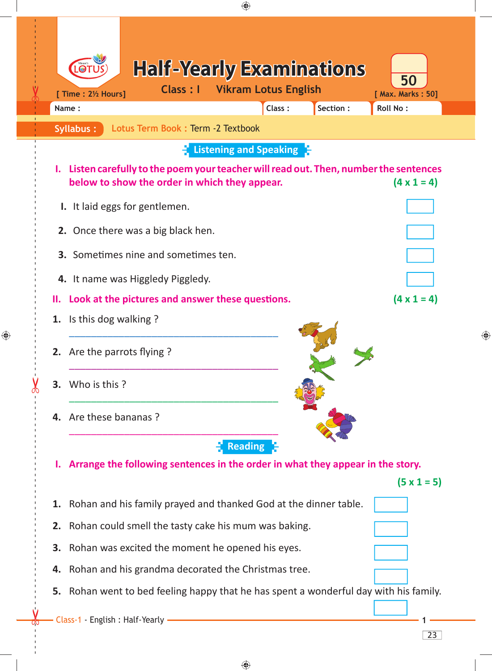| ⊕                                                                                                                                                                                                                               |   |
|---------------------------------------------------------------------------------------------------------------------------------------------------------------------------------------------------------------------------------|---|
| <b>Half-Yearly Examinations</b><br>50<br><b>Vikram Lotus English</b><br><b>Class: I</b><br>[ Time : 2½ Hours]<br>[ Max. Marks: 50]<br>Section:<br>Roll No:<br>Class:<br>Name:<br>Lotus Term Book: Term -2 Textbook<br>Syllabus: |   |
| $\frac{1}{2}$ Listening and Speaking $\frac{1}{2}$                                                                                                                                                                              |   |
| I. Listen carefully to the poem your teacher will read out. Then, number the sentences<br>below to show the order in which they appear.<br>$(4 \times 1 = 4)$                                                                   |   |
| I. It laid eggs for gentlemen.                                                                                                                                                                                                  |   |
| 2. Once there was a big black hen.                                                                                                                                                                                              |   |
| <b>3.</b> Sometimes nine and sometimes ten.                                                                                                                                                                                     |   |
| 4. It name was Higgledy Piggledy.                                                                                                                                                                                               |   |
| $(4 \times 1 = 4)$<br>Look at the pictures and answer these questions.                                                                                                                                                          |   |
| 1. Is this dog walking?                                                                                                                                                                                                         |   |
| 2. Are the parrots flying?                                                                                                                                                                                                      | ⊕ |
| 3. Who is this?                                                                                                                                                                                                                 |   |
| 4. Are these bananas?                                                                                                                                                                                                           |   |
| Reading <sup>2</sup>                                                                                                                                                                                                            |   |
| Arrange the following sentences in the order in what they appear in the story.                                                                                                                                                  |   |
| $(5 \times 1 = 5)$<br>Rohan and his family prayed and thanked God at the dinner table.<br>1.                                                                                                                                    |   |
|                                                                                                                                                                                                                                 |   |
| Rohan could smell the tasty cake his mum was baking.                                                                                                                                                                            |   |
| 3. Rohan was excited the moment he opened his eyes.<br>4. Rohan and his grandma decorated the Christmas tree.                                                                                                                   |   |
| 5. Rohan went to bed feeling happy that he has spent a wonderful day with his family.                                                                                                                                           |   |
|                                                                                                                                                                                                                                 |   |
| Class-1 - English : Half-Yearly -<br>23                                                                                                                                                                                         |   |
|                                                                                                                                                                                                                                 |   |

 $\bigoplus$ 

 $\bigoplus$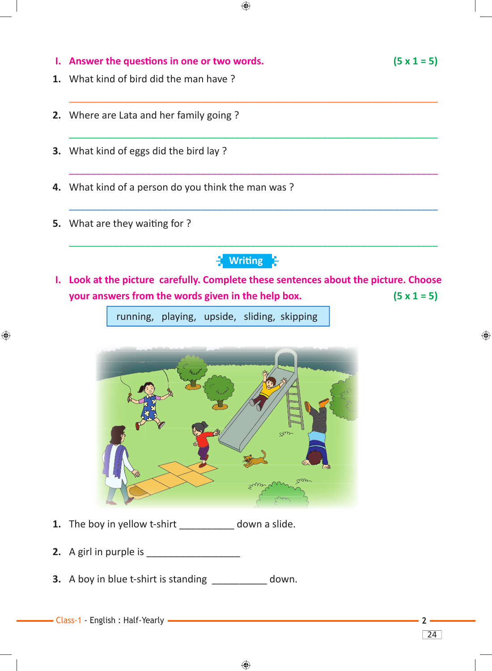**I.** Answer the questions in one or two words.  $(5 \times 1 = 5)$ **1.** What kind of bird did the man have ?  $\overline{\phantom{a}}$  , and the contribution of the contribution of the contribution of the contribution of the contribution of the contribution of the contribution of the contribution of the contribution of the contribution of the **2.** Where are Lata and her family going ?  $\overline{\phantom{a}}$  , and the contribution of the contribution of the contribution of the contribution of the contribution of the contribution of the contribution of the contribution of the contribution of the contribution of the **3.** What kind of eggs did the bird lay ?

 $\bigoplus$ 

 $\overline{\phantom{a}}$  ,  $\overline{\phantom{a}}$  ,  $\overline{\phantom{a}}$  ,  $\overline{\phantom{a}}$  ,  $\overline{\phantom{a}}$  ,  $\overline{\phantom{a}}$  ,  $\overline{\phantom{a}}$  ,  $\overline{\phantom{a}}$  ,  $\overline{\phantom{a}}$  ,  $\overline{\phantom{a}}$  ,  $\overline{\phantom{a}}$  ,  $\overline{\phantom{a}}$  ,  $\overline{\phantom{a}}$  ,  $\overline{\phantom{a}}$  ,  $\overline{\phantom{a}}$  ,  $\overline{\phantom{a}}$ 

 $\overline{\phantom{a}}$  ,  $\overline{\phantom{a}}$  ,  $\overline{\phantom{a}}$  ,  $\overline{\phantom{a}}$  ,  $\overline{\phantom{a}}$  ,  $\overline{\phantom{a}}$  ,  $\overline{\phantom{a}}$  ,  $\overline{\phantom{a}}$  ,  $\overline{\phantom{a}}$  ,  $\overline{\phantom{a}}$  ,  $\overline{\phantom{a}}$  ,  $\overline{\phantom{a}}$  ,  $\overline{\phantom{a}}$  ,  $\overline{\phantom{a}}$  ,  $\overline{\phantom{a}}$  ,  $\overline{\phantom{a}}$ 

 $\overline{\phantom{a}}$  , and the contribution of the contribution of the contribution of the contribution of the contribution of the contribution of the contribution of the contribution of the contribution of the contribution of the

- **4.** What kind of a person do you think the man was ?
- **5.** What are they waiting for ?

♠



**I. Look at the picture carefully. Complete these sentences about the picture. Choose your answers from the words given in the help box. (5 x 1 = 5)**

running, playing, upside, sliding, skipping



- **1.** The boy in yellow t-shirt \_\_\_\_\_\_\_\_\_\_ down a slide.
- **2.** A girl in purple is
- **3.** A boy in blue t-shirt is standing \_\_\_\_\_\_\_\_\_\_ down.
- Class-1 English : Half-Yearly **2**

◈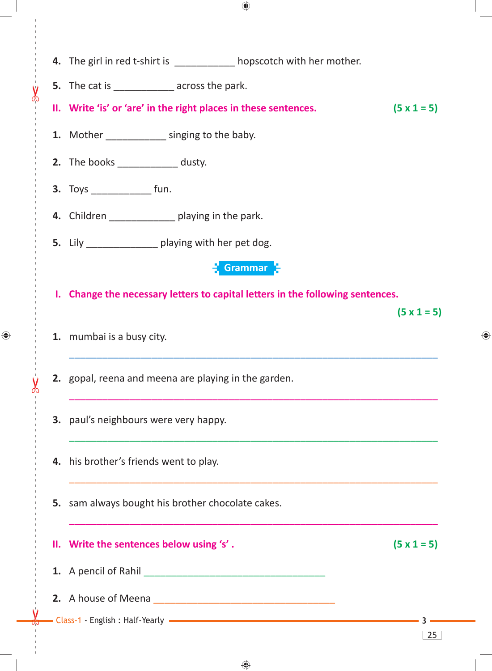|  | 4. The girl in red t-shirt is ___________ hopscotch with her mother.           |                    |
|--|--------------------------------------------------------------------------------|--------------------|
|  | <b>5.</b> The cat is __________________ across the park.                       |                    |
|  | II. Write 'is' or 'are' in the right places in these sentences.                | $(5 \times 1 = 5)$ |
|  | 1. Mother _______________ singing to the baby.                                 |                    |
|  | <b>2.</b> The books ______________ dusty.                                      |                    |
|  | <b>3.</b> Toys _________________ fun.                                          |                    |
|  | 4. Children _______________ playing in the park.                               |                    |
|  | 5. Lily ________________ playing with her pet dog.                             |                    |
|  | Grammar 3                                                                      |                    |
|  | I. Change the necessary letters to capital letters in the following sentences. |                    |
|  |                                                                                | $(5 \times 1 = 5)$ |
|  | 1. mumbai is a busy city.                                                      |                    |
|  | 2. gopal, reena and meena are playing in the garden.                           |                    |
|  | <b>3.</b> paul's neighbours were very happy.                                   |                    |
|  | 4. his brother's friends went to play.                                         |                    |
|  | <b>5.</b> sam always bought his brother chocolate cakes.                       |                    |
|  | II. Write the sentences below using 's'.                                       | $(5 \times 1 = 5)$ |
|  |                                                                                |                    |
|  |                                                                                |                    |
|  |                                                                                |                    |
|  |                                                                                | 25                 |

 $\bigoplus$ 

 $\bigoplus$ 

 $\epsilon$ 

♦